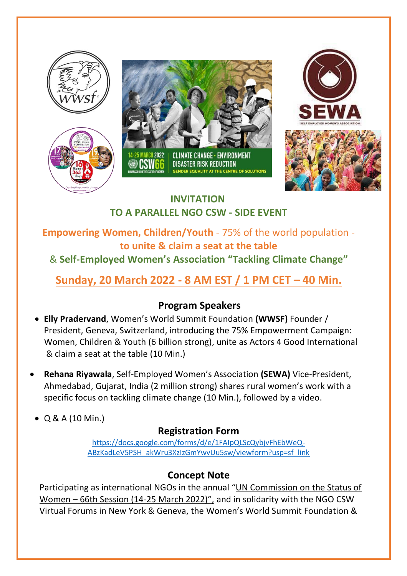







# **INVITATION TO A PARALLEL NGO CSW - SIDE EVENT**

### **Empowering Women, Children/Youth** - 75% of the world population **to unite & claim a seat at the table**

# & **Self-Employed Women's Association "Tackling Climate Change"**

# **Sunday, 20 March 2022 - 8 AM EST / 1 PM CET – 40 Min.**

#### **Program Speakers**

- **Elly Pradervand**, Women's World Summit Foundation **(WWSF)** Founder / President, Geneva, Switzerland, introducing the 75% Empowerment Campaign: Women, Children & Youth (6 billion strong), unite as Actors 4 Good International & claim a seat at the table (10 Min.)
- • **Rehana Riyawala**, Self-Employed Women's Association **(SEWA)** Vice-President, Ahmedabad, Gujarat, India (2 million strong) shares rural women's work with a specific focus on tackling climate change (10 Min.), followed by a video.
- Q & A (10 Min.)

## **Registration Form**

[https://docs.google.com/forms/d/e/1FAIpQLScQybjvFhEbWeQ-](https://docs.google.com/forms/d/e/1FAIpQLScQybjvFhEbWeQ-ABzKadLeV5PSH_akWru3XzIzGmYwvUu5sw/viewform?usp=sf_link)[ABzKadLeV5PSH\\_akWru3XzIzGmYwvUu5sw/viewform?usp=sf\\_link](https://docs.google.com/forms/d/e/1FAIpQLScQybjvFhEbWeQ-ABzKadLeV5PSH_akWru3XzIzGmYwvUu5sw/viewform?usp=sf_link)

## **Concept Note**

Participating as international NGOs in the annual "UN Commission on the Status of Women – 66th Session (14-25 March 2022)", and in solidarity with the NGO CSW Virtual Forums in New York & Geneva, the Women's World Summit Foundation &